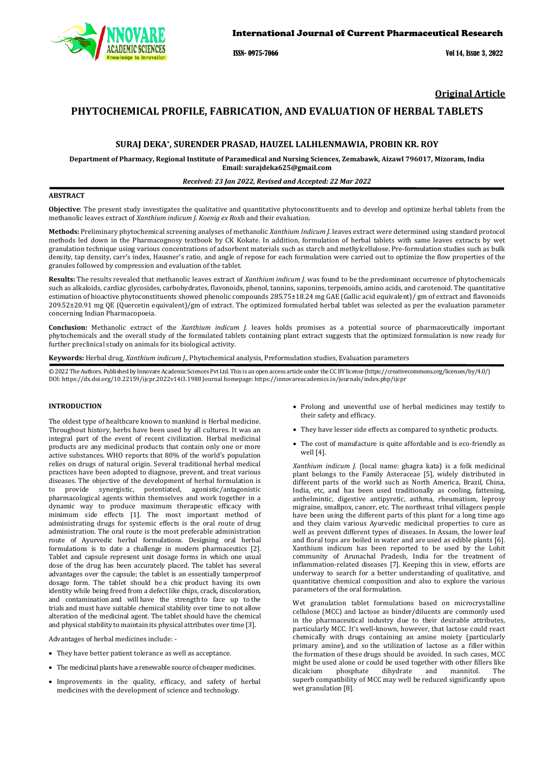

ISSN- 0975-7066 Vol 14, Issue 3, 2022

# **Original Article**

# **PHYTOCHEMICAL PROFILE, FABRICATION, AND EVALUATION OF HERBAL TABLETS**

# **SURAJ DEKA\*, SURENDER PRASAD, HAUZEL LALHLENMAWIA, PROBIN KR. ROY**

**Department of Pharmacy, Regional Institute of Paramedical and Nursing Sciences, Zemabawk, Aizawl 796017, Mizoram, India Email[: surajdeka625@gmail.com](mailto:surajdeka625@gmail.com)**

### *Received: 23 Jan 2022, Revised and Accepted: 22 Mar 2022*

# **ABSTRACT**

**Objective**: The present study investigates the qualitative and quantitative phytoconstituents and to develop and optimize herbal tablets from the methanolic leaves extract of *Xanthium indicum J. Koenig ex R*oxb and their evaluation.

**Methods:** Preliminary phytochemical screening analyses of methanolic *Xanthium Indicum J.* leaves extract were determined using standard protocol methods led down in the [Pharmacognosy textbook by CK Kokate.](https://prithvibooks.com/product/pharmacognosy-55th-edition-by-c-k-kokate/) In addition, formulation of herbal tablets with same leaves extracts by wet [granulation technique using various concentrations of adsorbent](https://prithvibooks.com/product/pharmacognosy-55th-edition-by-c-k-kokate/) materials such as starch and methylcellulose. Pre-formulation studies such as bulk density, tap density, carr['s index, Hausner's ratio, and angle of repose for each formulation were carried out to optimize the flow properties of the](https://prithvibooks.com/product/pharmacognosy-55th-edition-by-c-k-kokate/)  [granules followed by compression and evaluation of the tablet.](https://prithvibooks.com/product/pharmacognosy-55th-edition-by-c-k-kokate/) 

**Results:** The results revealed that methanolic leaves extract of *Xanthium indicum J.* [was found to be the predominant occurrence of phytochemicals](https://prithvibooks.com/product/pharmacognosy-55th-edition-by-c-k-kokate/)  [such as alkaloids, cardiac glycosides, carbohydrates, flavonoids, phenol, tannins, saponins, terpenoids, amino acids, and carotenoid. The quantitative](https://prithvibooks.com/product/pharmacognosy-55th-edition-by-c-k-kokate/)  [estimation of bioactive phytoconstituents showed phenolic](https://prithvibooks.com/product/pharmacognosy-55th-edition-by-c-k-kokate/) compounds 285.75±18.24 mg GAE (Gallic acid equivalent)/ gm of extract and flavonoids 209.52±20.91 mg QE (Quercetin equivalent)/gm [of extract. The optimized formulated herbal tablet was selected as per the evaluation parameter](https://prithvibooks.com/product/pharmacognosy-55th-edition-by-c-k-kokate/)  concerning Indian Pharmacopoeia.

**Conclusion:** Methanolic extract of the *Xanthium indicum J.* leaves holds promises as a potential source of pharmaceutically important phytochemicals and the overall study of the formulated tablets containing plant extract suggests that the optimized formulation is now ready for further preclinical study on animals for its biological activity.

**Keywords:** Herbal drug, *Xanthium indicum J.,* Phytochemical analysis, Preformulation studies, Evaluation parameters

 $\overline{\odot}$  2022 The Authors. Published by Innovare Academic Sciences Pvt Ltd. This is an open access article under the CC BY license [\(https://creativecommons.org/licenses/by/4.0/\)](https://creativecommons.org/licenses/by/4.0/) DOI[: https://dx.doi.org/10.22159/ijcpr.2022v14i3.1](https://dx.doi.org/10.22159/ijcpr.2022v14i3)988 Journal homepage[: https://innovareacademics.in/journals/index.php/ijcpr](https://innovareacademics.in/journals/index.php/ijcpr)

# **INTRODUCTION**

The oldest type of healthcare known to mankind is Herbal medicine. Throughout history, herbs have been used by all cultures. It was an integral part of the event of recent civilization. Herbal medicinal products are any medicinal products that contain only one or more active substances. WHO reports that 80% of the world's population relies on drugs of natural origin. Several traditional herbal medical practices have been adopted to diagnose, prevent, and treat various diseases. The objective of the development of herbal formulation is to provide synergistic, potentiated, agonistic/antagonistic pharmacological agents within themselves and work together in a dynamic way to produce maximum therapeutic efficacy with minimum side effects [1]. The most important method of administrating drugs for systemic effects is the oral route of drug administration. The oral route is the most preferable administration route of Ayurvedic herbal formulations. Designing oral herbal formulations is to date a challenge in modern pharmaceutics [2]. Tablet and capsule represent unit dosage forms in which one usual dose of the drug has been accurately placed. The tablet has several advantages over the capsule; the tablet is an essentially tamperproof dosage form. The tablet should be a chic product having its own identity while being freed from a defect like chips, crack, discoloration, and contamination and will have the strength to face up to the trials and must have suitable chemical stability over time to not allow alteration of the medicinal agent. The tablet should have the chemical and physical stability to maintain its physical attributes over time [3].

Advantages of herbal medicines include: -

- They have better patient tolerance as well as acceptance.
- The medicinal plants have a renewable source of cheaper medicines.
- Improvements in the quality, efficacy, and safety of herbal medicines with the development of science and technology.
- Prolong and uneventful use of herbal medicines may testify to their safety and efficacy.
- They have lesser side effects as compared to synthetic products.
- The cost of manufacture is quite affordable and is eco-friendly as well [4].

*Xanthium indicum J.* (local name: ghagra kata) is a folk medicinal plant belongs to the Family Asteraceae [5], widely distributed in different parts of the world such as North America, Brazil, China, India, etc, and has been used traditionally as cooling, fattening, anthelmintic, digestive antipyretic, asthma, rheumatism, leprosy migraine, smallpox, cancer, etc. The northeast tribal villagers people have been using the different parts of this plant for a long time ago and they claim various Ayurvedic medicinal properties to cure as well as prevent different types of diseases. In Assam, the lower leaf and floral tops are boiled in water and are used as edible plants [6]. Xanthium indicum has been reported to be used by the Lohit community of Arunachal Pradesh, India for the treatment of inflammation-related diseases [7]. Keeping this in view, efforts are underway to search for a better understanding of qualitative, and quantitative chemical composition and also to explore the various parameters of the oral formulation.

Wet granulation tablet formulations based on microcrystalline cellulose (MCC) and lactose as binder/diluents are commonly used in the pharmaceutical industry due to their desirable attributes, particularly MCC. It's well-known, however, that lactose could react chemically with drugs containing an amine moiety (particularly primary amine), and so the utilization of lactose as a filler within the formation of these drugs should be avoided. In such cases, MCC might be used alone or could be used together with other fillers like<br>dicalcium phosphate dihydrate and mannitol. The dicalcium phosphate dihydrate and mannitol. The superb compatibility of MCC may well be reduced significantly upon wet granulation [8].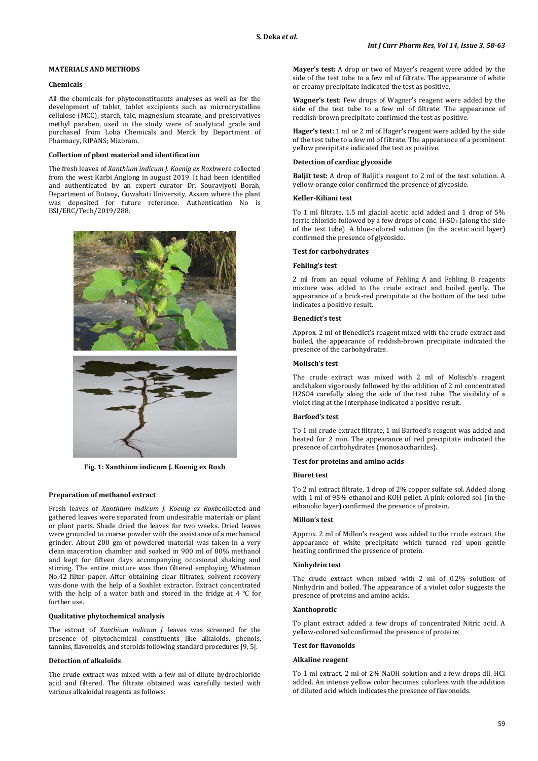# **MATERIALS AND METHODS**

### **Chemicals**

All the chemicals for phytoconstituents analyses as well as for the development of tablet, tablet excipients such as microcrystalline cellulose (MCC), starch, talc, magnesium stearate, and preservatives methyl paraben, used in the study were of analytical grade and purchased from Loba Chemicals and Merck by Department of Pharmacy, RIPANS; Mizoram.

# **Collection of plant material and identification**

The fresh leaves of *Xanthium indicum J. Koenig ex Roxb*were collected from the west Karbi Anglong in august 2019. It had been identified and authenticated by an expert curator Dr. Souravjyoti Borah, Department of Botany, Guwahati University, Assam where the plant was deposited for future reference. Authentication No is BSI/ERC/Tech/2019/288.



**Fig. 1: Xanthium indicum J. Koenig ex Roxb**

### **Preparation of methanol extract**

Fresh leaves of *Xanthium indicum J. Koenig ex Roxb*collected and gathered leaves were separated from undesirable materials or plant or plant parts. Shade dried the leaves for two weeks. Dried leaves were grounded to coarse powder with the assistance of a mechanical grinder. About 200 gm of powdered material was taken in a very clean maceration chamber and soaked in 900 ml of 80% methanol and kept for fifteen days accompanying occasional shaking and stirring. The entire mixture was then filtered employing Whatman No.42 filter paper. After obtaining clear filtrates, solvent recovery was done with the help of a Soxhlet extractor. Extract concentrated with the help of a water bath and stored in the fridge at 4 ℃ for further use.

## **Qualitative phytochemical analysis**

The extract of *Xanthium indicum J.* leaves was screened for the presence of phytochemical constituents like alkaloids, phenols, tannins, flavonoids, and steroids following standard procedures [9, 5].

### **Detection of alkaloids**

The crude extract was mixed with a few ml of dilute hydrochloride acid and filtered. The filtrate obtained was carefully tested with various alkaloidal reagents as follows:

**Mayer's test:** A drop or two of Mayer's reagent were added by the side of the test tube to a few ml of filtrate. The appearance of white or creamy precipitate indicated the test as positive.

**Wagner's test**: Few drops of Wagner's reagent were added by the side of the test tube to a few ml of filtrate. The appearance of reddish-brown precipitate confirmed the test as positive.

**Hager's test:** 1 ml or 2 ml of Hager's reagent were added by the side of the test tube to a few ml of filtrate. The appearance of a prominent yellow precipitate indicated the test as positive.

# **Detection of cardiac glycoside**

**Baljit test:** A drop of Baljit's reagent to 2 ml of the test solution. A yellow-orange color confirmed the presence of glycoside.

## **Keller-Kiliani test**

To 1 ml filtrate, 1.5 ml glacial acetic acid added and 1 drop of 5% ferric chloride followed by a few drops of conc.  $H_2SO_4$  (along the side of the test tube). A blue-colored solution (in the acetic acid layer) confirmed the presence of glycoside.

# **Test for carbohydrates**

### **Fehling's test**

2 ml from an equal volume of Fehling A and Fehling B reagents mixture was added to the crude extract and boiled gently. The appearance of a brick-red precipitate at the bottom of the test tube indicates a positive result.

#### **Benedict's test**

Approx. 2 ml of Benedict's reagent mixed with the crude extract and boiled, the appearance of reddish-brown precipitate indicated the presence of the carbohydrates.

# **Molisch's test**

The crude extract was mixed with 2 ml of Molisch's reagent andshaken vigorously followed by the addition of 2 ml concentrated H2SO4 carefully along the side of the test tube. The visibility of a violet ring at the interphase indicated a positive result.

## **Barfoed's test**

To 1 ml crude extract filtrate, 1 ml Barfoed's reagent was added and heated for 2 min. The appearance of red precipitate indicated the presence of carbohydrates {monosaccharides}.

# **Test for proteins and amino acids**

### **Biuret test**

To 2 ml extract filtrate, 1 drop of 2% copper sulfate sol. Added along with 1 ml of 95% ethanol and KOH pellet. A pink-colored sol. (in the ethanolic layer) confirmed the presence of protein.

## **Millon's test**

Approx. 2 ml of Millon's reagent was added to the crude extract, the appearance of white precipitate which turned red upon gentle heating confirmed the presence of protein.

# **Ninhydrin test**

The crude extract when mixed with 2 ml of 0.2% solution of Ninhydrin and boiled. The appearance of a violet color suggests the presence of proteins and amino acids.

# **Xanthoprotic**

To plant extract added a few drops of concentrated Nitric acid. A yellow-colored sol confirmed the presence of proteins

#### **Test for flavonoids**

### **Alkaline reagent**

To 1 ml extract, 2 ml of 2% NaOH solution and a few drops dil. HCl added. An intense yellow color becomes colorless with the addition of diluted acid which indicates the presence of flavonoids.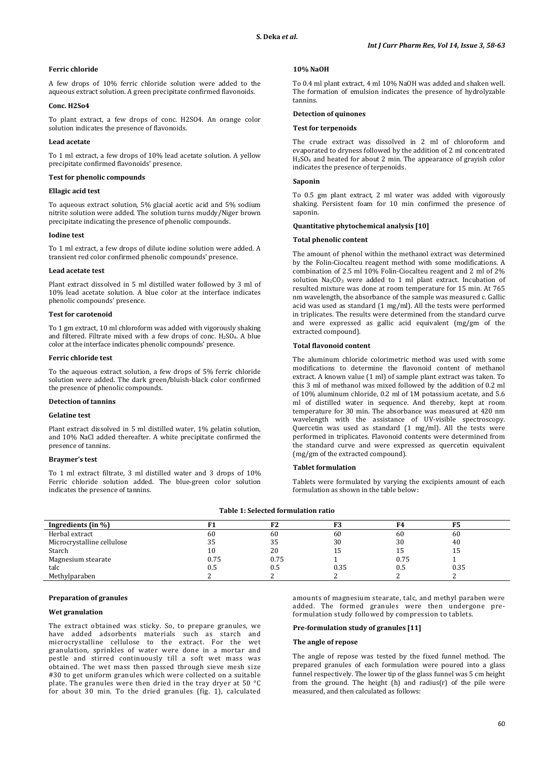# **Ferric chloride**

A few drops of 10% ferric chloride solution were added to the aqueous extract solution. A green precipitate confirmed flavonoids.

# **Conc. H2So4**

To plant extract, a few drops of conc. H2SO4. An orange color solution indicates the presence of flavonoids.

# **Lead acetate**

To 1 ml extract, a few drops of 10% lead acetate solution. A yellow precipitate confirmed flavonoids' presence.

## **Test for phenolic compounds**

#### **Ellagic acid test**

To aqueous extract solution, 5% glacial acetic acid and 5% sodium nitrite solution were added. The solution turns muddy/Niger brown precipitate indicating the presence of phenolic compounds.

#### **Iodine test**

To 1 ml extract, a few drops of dilute iodine solution were added. A transient red color confirmed phenolic compounds' presence.

## **Lead acetate test**

Plant extract dissolved in 5 ml distilled water followed by 3 ml of 10% lead acetate solution. A blue color at the interface indicates phenolic compounds' presence.

# **Test for carotenoid**

To 1 gm extract, 10 ml chloroform was added with vigorously shaking and filtered. Filtrate mixed with a few drops of conc.  $H<sub>2</sub>SO<sub>4</sub>$ . A blue color at the interface indicates phenolic compounds' presence.

#### **Ferric chloride test**

To the aqueous extract solution, a few drops of 5% ferric chloride solution were added. The dark green/bluish-black color confirmed the presence of phenolic compounds.

#### **Detection of tannins**

#### **Gelatine test**

Plant extract dissolved in 5 ml distilled water, 1% gelatin solution, and 10% NaCl added thereafter. A white precipitate confirmed the presence of tannins.

## **Braymer's test**

To 1 ml extract filtrate, 3 ml distilled water and 3 drops of 10% Ferric chloride solution added. The blue-green color solution indicates the presence of tannins.

## **10% NaOH**

To 0.4 ml plant extract, 4 ml 10% NaOH was added and shaken well. The formation of emulsion indicates the presence of hydrolyzable tannins.

### **Detection of quinones**

#### **Test for terpenoids**

The crude extract was dissolved in 2 ml of chloroform and evaporated to dryness followed by the addition of 2 ml concentrated H2SO4 and heated for about 2 min. The appearance of grayish color indicates the presence of terpenoids.

#### **Saponin**

To 0.5 gm plant extract, 2 ml water was added with vigorously shaking. Persistent foam for 10 min confirmed the presence of saponin.

#### **Quantitative phytochemical analysis [10]**

#### **Total phenolic content**

The amount of phenol within the methanol extract was determined by the Folin-Ciocalteu reagent method with some modifications. A combination of 2.5 ml 10% Folin-Ciocalteu reagent and 2 ml of 2% solution  $Na<sub>2</sub>CO<sub>3</sub>$  were added to 1 ml plant extract. Incubation of resulted mixture was done at room temperature for 15 min. At 765 nm wavelength, the absorbance of the sample was measured c. Gallic acid was used as standard (1 mg/ml). All the tests were performed in triplicates. The results were determined from the standard curve and were expressed as gallic acid equivalent (mg/gm of the extracted compound).

### **Total flavonoid content**

The aluminum chloride colorimetric method was used with some modifications to determine the flavonoid content of methanol extract. A known value (1 ml) of sample plant extract was taken. To this 3 ml of methanol was mixed followed by the addition of 0.2 ml of 10% aluminum chloride, 0.2 ml of 1M potassium acetate, and 5.6 ml of distilled water in sequence. And thereby, kept at room temperature for 30 min. The absorbance was measured at 420 nm wavelength with the assistance of UV-visible spectroscopy. Quercetin was used as standard (1 mg/ml). All the tests were performed in triplicates. Flavonoid contents were determined from the standard curve and were expressed as quercetin equivalent (mg/gm of the extracted compound).

# **Tablet formulation**

Tablets were formulated by varying the excipients amount of each formulation as shown in the table below:

| Ingredients (in $\%$ )     |      | F <sub>2</sub> | r0   | F4   | F5   |
|----------------------------|------|----------------|------|------|------|
| Herbal extract             | 60   | 60             | 60   | 60   | 60   |
| Microcrystalline cellulose | 35   | 35             | 30   | 30   | 40   |
| Starch                     | 10   | 20             | 15   | L5   | 15   |
| Magnesium stearate         | 0.75 | 0.75           |      | 0.75 |      |
| talc                       | 0.5  | 0.5            | 0.35 | Ս.5  | 0.35 |
| Methylparaben              |      |                |      |      |      |

### **Table 1: Selected formulation ratio**

### **Preparation of granules**

#### **Wet granulation**

The extract obtained was sticky. So, to prepare granules, we have added adsorbents materials such as starch and microcrystalline cellulose to the extract. For the wet granulation, sprinkles of water were done in a mortar and pestle and stirred continuously till a soft wet mass was obtained. The wet mass then passed through sieve mesh size #30 to get uniform granules which were collected on a suitable plate. The granules were then dried in the tray dryer at 50 °C for about 30 min. To the dried granules (fig. 1), calculated

amounts of magnesium stearate, talc, and methyl paraben were added. The formed granules were then undergone preformulation study followed by compression to tablets.

### **Pre-formulation study of granules [11]**

#### **The angle of repose**

The angle of repose was tested by the fixed funnel method. The prepared granules of each formulation were poured into a glass funnel respectively. The lower tip of the glass funnel was 5 cm height from the ground. The height (h) and radius(r) of the pile were measured, and then calculated as follows: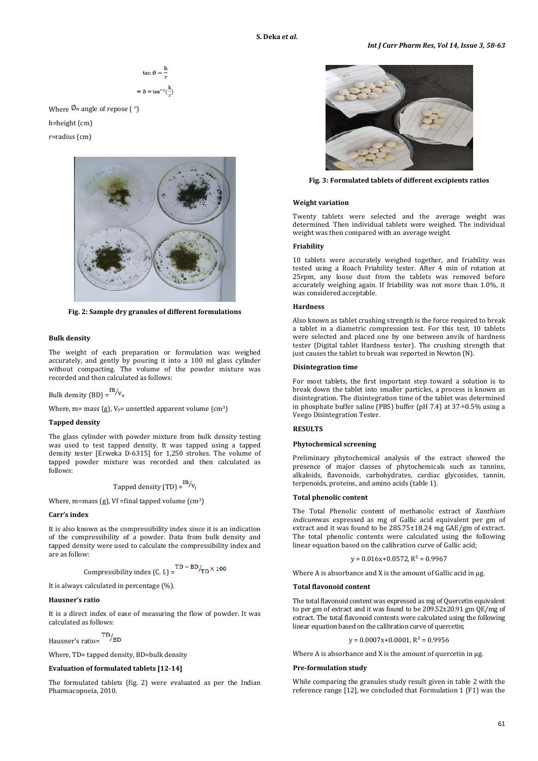$$
\tan \emptyset = \frac{h}{r}
$$

$$
\Rightarrow \emptyset = \tan^{-1}(\frac{h}{r})
$$

Where  $\Phi$  = angle of repose ( $\degree$ ) h=height (cm) r=radius (cm)



**Fig. 2: Sample dry granules of different formulations**

#### **Bulk density**

The weight of each preparation or formulation was weighed accurately, and gently by pouring it into a 100 ml glass cylinder without compacting. The volume of the powder mixture was recorded and then calculated as follows:

Bulk density (BD) =  $\frac{m}{v_0}$ 

Where, m= mass (g),  $V_0$ = unsettled apparent volume (cm<sup>3</sup>)

# **Tapped density**

The glass cylinder with powder mixture from bulk density testing was used to test tapped density. It was tapped using a tapped density tester [Erweka D-6315] for 1,250 strokes. The volume of tapped powder mixture was recorded and then calculated as follows:

Tapped density (TD) = 
$$
\frac{m}{v_f}
$$

Where, m=mass (g), Vf =final tapped volume  $(cm<sup>3</sup>)$ 

### **Carr's index**

It is also known as the compressibility index since it is an indication of the compressibility of a powder. Data from bulk density and tapped density were used to calculate the compressibility index and are as follow:

Compressibility index (C. I.) = 
$$
^{TD - BD}/_{TD} \times 100
$$

It is always calculated in percentage (%).

#### **Hausner's ratio**

It is a direct index of ease of measuring the flow of powder. It was calculated as follows:

Hausner's ratio=

Where, TD= tapped density, BD=bulk density

#### **Evaluation of formulated tablets [12-14]**

The formulated tablets (fig. 2) were evaluated as per the Indian Pharmacopoeia, 2010.



**Fig. 3: Formulated tablets of different excipients ratios**

#### **Weight variation**

Twenty tablets were selected and the average weight was determined. Then individual tablets were weighed. The individual weight was then compared with an average weight.

# **Friability**

10 tablets were accurately weighed together, and friability was tested using a Roach Friability tester. After 4 min of rotation at 25rpm, any loose dust from the tablets was removed before accurately weighing again. If friability was not more than 1.0%, it was considered acceptable.

### **Hardness**

Also known as tablet crushing strength is the force required to break a tablet in a diametric compression test. For this test, 10 tablets were selected and placed one by one between anvils of hardness tester (Digital tablet Hardness tester). The crushing strength that just causes the tablet to break was reported in Newton (N).

#### **Disintegration time**

For most tablets, the first important step toward a solution is to break down the tablet into smaller particles, a process is known as disintegration. The disintegration time of the tablet was determined in phosphate buffer saline (PBS) buffer (pH 7.4) at  $37\pm 0.5\%$  using a Veego Disintegration Tester.

# **RESULTS**

### **Phytochemical screening**

Preliminary phytochemical analysis of the extract showed the presence of major classes of phytochemicals such as tannins, alkaloids, flavonoids, carbohydrates, cardiac glycosides, tannin, terpenoids, proteins, and amino acids (table 1).

# **Total phenolic content**

The Total Phenolic content of methanolic extract of *Xanthium indicum*was expressed as mg of Gallic acid equivalent per gm of extract and it was found to be 285.75±18.24 mg GAE/gm of extract. The total phenolic contents were calculated using the following linear equation based on the calibration curve of Gallic acid;

$$
y = 0.016x + 0.0572, R^2 = 0.9967
$$

Where A is absorbance and X is the amount of Gallic acid in  $\mu$ g.

### **Total flavonoid content**

The total flavonoid content was expressed as mg of Quercetin equivalent to per gm of extract and it was found to be 209.52±20.91 gm QE/mg of extract. The total flavonoid contents were calculated using the following linear equation based on the calibration curve of quercetin;

 $y = 0.0007x+0.0001$ ,  $R^2 = 0.9956$ 

Where  $A$  is absorbance and  $X$  is the amount of quercetin in  $\mu$ g.

# **Pre-formulation study**

While comparing the granules study result given in table 2 with the reference range [12], we concluded that Formulation 1 (F1) was the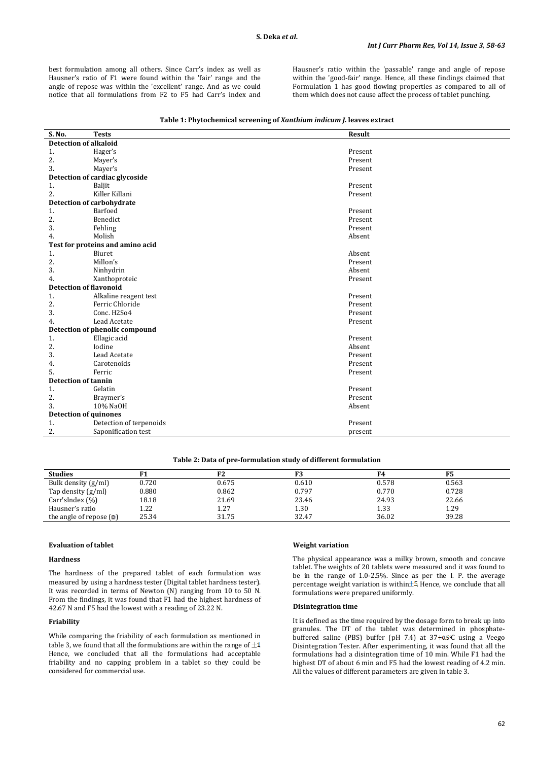best formulation among all others. Since Carr's index as well as Hausner's ratio of F1 were found within the 'fair' range and the angle of repose was within the 'excellent' range. And as we could notice that all formulations from F2 to F5 had Carr's index and Hausner's ratio within the 'passable' range and angle of repose within the 'good-fair' range. Hence, all these findings claimed that Formulation 1 has good flowing properties as compared to all of them which does not cause affect the process of tablet punching.

| S. No. | <b>Tests</b>                     | Result  |  |
|--------|----------------------------------|---------|--|
|        | <b>Detection of alkaloid</b>     |         |  |
| 1.     | Hager's                          | Present |  |
| 2.     | Mayer's                          | Present |  |
| 3.     | Mayer's                          | Present |  |
|        | Detection of cardiac glycoside   |         |  |
| 1.     | Baljit                           | Present |  |
| 2.     | Killer Killani                   | Present |  |
|        | Detection of carbohydrate        |         |  |
| 1.     | Barfoed                          | Present |  |
| 2.     | Benedict                         | Present |  |
| 3.     | Fehling                          | Present |  |
| 4.     | Molish                           | Absent  |  |
|        | Test for proteins and amino acid |         |  |
| 1.     | Biuret                           | Absent  |  |
| 2.     | Millon's                         | Present |  |
| 3.     | Ninhydrin                        | Absent  |  |
| 4.     | Xanthoproteic                    | Present |  |
|        | <b>Detection of flavonoid</b>    |         |  |
| 1.     | Alkaline reagent test            | Present |  |
| 2.     | Ferric Chloride                  | Present |  |
| 3.     | Conc. H2So4                      | Present |  |
| 4.     | Lead Acetate                     | Present |  |
|        | Detection of phenolic compound   |         |  |
| 1.     | Ellagic acid                     | Present |  |
| 2.     | Iodine                           | Absent  |  |
| 3.     | Lead Acetate                     | Present |  |
| 4.     | Carotenoids                      | Present |  |
| 5.     | Ferric                           | Present |  |
|        | <b>Detection of tannin</b>       |         |  |
| 1.     | Gelatin                          | Present |  |
| 2.     | Braymer's                        | Present |  |
| 3.     | 10% NaOH                         | Absent  |  |
|        | <b>Detection of quinones</b>     |         |  |
| 1.     | Detection of terpenoids          | Present |  |
| 2.     | Saponification test              | present |  |

# **Table 1: Phytochemical screening of** *Xanthium indicum J.* **leaves extract**

**Table 2: Data of pre-formulation study of different formulation**

| 0.675 | 0.610 | 0.578 | 0.563 |
|-------|-------|-------|-------|
| 0.862 | 0.797 | 0.770 | 0.728 |
| 21.69 | 23.46 | 24.93 | 22.66 |
| 1.27  | 1.30  | 1.33  | 1.29  |
| 31.75 | 32.47 | 36.02 | 39.28 |
|       |       |       |       |

### **Evaluation of tablet**

# **Hardness**

The hardness of the prepared tablet of each formulation was measured by using a hardness tester (Digital tablet hardness tester). It was recorded in terms of Newton (N) ranging from 10 to 50 N. From the findings, it was found that F1 had the highest hardness of 42.67 N and F5 had the lowest with a reading of 23.22 N.

# **Friability**

While comparing the friability of each formulation as mentioned in table 3, we found that all the formulations are within the range of  $\pm 1$ . Hence, we concluded that all the formulations had acceptable friability and no capping problem in a tablet so they could be considered for commercial use.

#### **Weight variation**

The physical appearance was a milky brown, smooth and concave tablet. The weights of 20 tablets were measured and it was found to be in the range of 1.0-2.5%. Since as per the I. P. the average percentage weight variation is within  $\pm$ 5. Hence, we conclude that all formulations were prepared uniformly.

# **Disintegration time**

It is defined as the time required by the dosage form to break up into granules. The DT of the tablet was determined in phosphatebuffered saline (PBS) buffer (pH  $7.4$ ) at  $37\pm0.5^{\circ}$ C using a Veego Disintegration Tester. After experimenting, it was found that all the formulations had a disintegration time of 10 min. While F1 had the highest DT of about 6 min and F5 had the lowest reading of 4.2 min. All the values of different parameters are given in table 3.